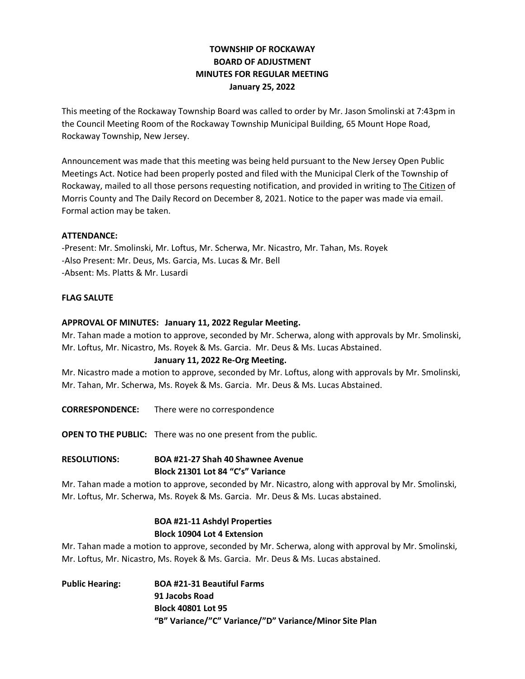# **TOWNSHIP OF ROCKAWAY BOARD OF ADJUSTMENT MINUTES FOR REGULAR MEETING January 25, 2022**

This meeting of the Rockaway Township Board was called to order by Mr. Jason Smolinski at 7:43pm in the Council Meeting Room of the Rockaway Township Municipal Building, 65 Mount Hope Road, Rockaway Township, New Jersey.

Announcement was made that this meeting was being held pursuant to the New Jersey Open Public Meetings Act. Notice had been properly posted and filed with the Municipal Clerk of the Township of Rockaway, mailed to all those persons requesting notification, and provided in writing to The Citizen of Morris County and The Daily Record on December 8, 2021. Notice to the paper was made via email. Formal action may be taken.

### **ATTENDANCE:**

-Present: Mr. Smolinski, Mr. Loftus, Mr. Scherwa, Mr. Nicastro, Mr. Tahan, Ms. Royek -Also Present: Mr. Deus, Ms. Garcia, Ms. Lucas & Mr. Bell -Absent: Ms. Platts & Mr. Lusardi

### **FLAG SALUTE**

### **APPROVAL OF MINUTES: January 11, 2022 Regular Meeting.**

Mr. Tahan made a motion to approve, seconded by Mr. Scherwa, along with approvals by Mr. Smolinski, Mr. Loftus, Mr. Nicastro, Ms. Royek & Ms. Garcia. Mr. Deus & Ms. Lucas Abstained.

#### **January 11, 2022 Re-Org Meeting.**

Mr. Nicastro made a motion to approve, seconded by Mr. Loftus, along with approvals by Mr. Smolinski, Mr. Tahan, Mr. Scherwa, Ms. Royek & Ms. Garcia. Mr. Deus & Ms. Lucas Abstained.

**CORRESPONDENCE:** There were no correspondence

**OPEN TO THE PUBLIC:** There was no one present from the public.

## **RESOLUTIONS: BOA #21-27 Shah 40 Shawnee Avenue Block 21301 Lot 84 "C's" Variance**

Mr. Tahan made a motion to approve, seconded by Mr. Nicastro, along with approval by Mr. Smolinski, Mr. Loftus, Mr. Scherwa, Ms. Royek & Ms. Garcia. Mr. Deus & Ms. Lucas abstained.

## **BOA #21-11 Ashdyl Properties Block 10904 Lot 4 Extension**

Mr. Tahan made a motion to approve, seconded by Mr. Scherwa, along with approval by Mr. Smolinski, Mr. Loftus, Mr. Nicastro, Ms. Royek & Ms. Garcia. Mr. Deus & Ms. Lucas abstained.

**Public Hearing: BOA #21-31 Beautiful Farms 91 Jacobs Road Block 40801 Lot 95 "B" Variance/"C" Variance/"D" Variance/Minor Site Plan**